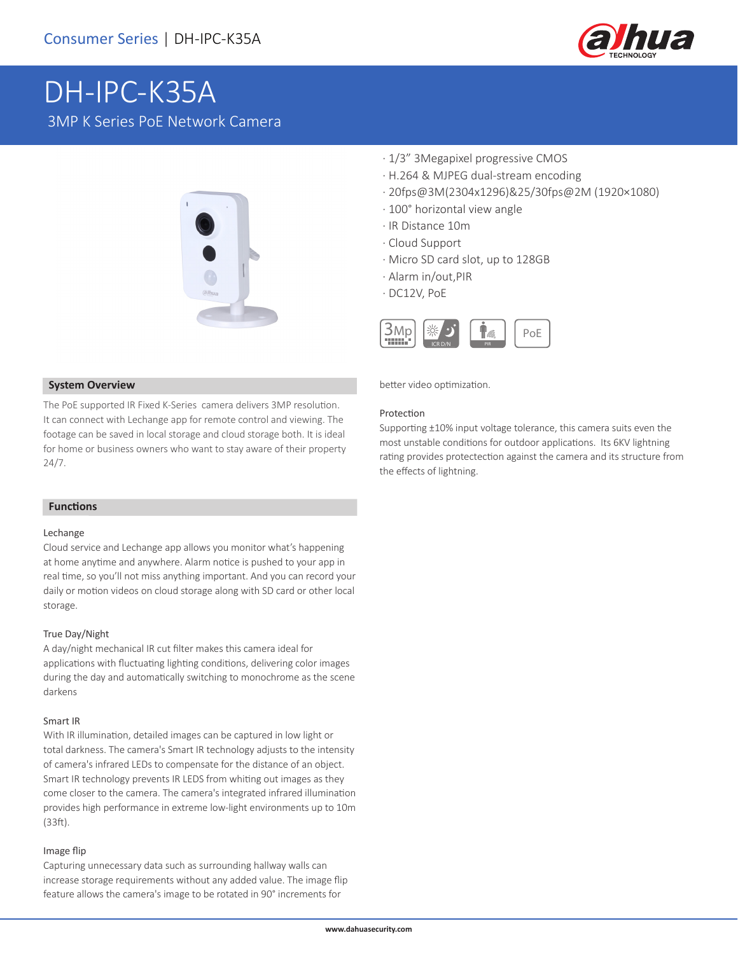

# DH-IPC-K35A 3MP K Series PoE Network Camera



- · 1/3" 3Megapixel progressive CMOS
- · H.264 & MJPEG dual-stream encoding
- · 20fps@3M(2304x1296)&25/30fps@2M (1920×1080)
- · 100° horizontal view angle
- · IR Distance 10m
- · Cloud Support
- · Micro SD card slot, up to 128GB
- · Alarm in/out,PIR
- · DC12V, PoE



better video optimization.

#### Protection

Supporting ±10% input voltage tolerance, this camera suits even the most unstable conditions for outdoor applications. Its 6KV lightning rating provides protectection against the camera and its structure from the effects of lightning.

#### **System Overview**

The PoE supported IR Fixed K-Series camera delivers 3MP resolution. It can connect with Lechange app for remote control and viewing. The footage can be saved in local storage and cloud storage both. It is ideal for home or business owners who want to stay aware of their property 24/7.

#### **Functions**

#### Lechange

Cloud service and Lechange app allows you monitor what's happening at home anytime and anywhere. Alarm notice is pushed to your app in real time, so you'll not miss anything important. And you can record your daily or motion videos on cloud storage along with SD card or other local storage.

#### True Day/Night

A day/night mechanical IR cut filter makes this camera ideal for applications with fluctuating lighting conditions, delivering color images during the day and automatically switching to monochrome as the scene darkens

#### Smart IR

With IR illumination, detailed images can be captured in low light or total darkness. The camera's Smart IR technology adjusts to the intensity of camera's infrared LEDs to compensate for the distance of an object. Smart IR technology prevents IR LEDS from whiting out images as they come closer to the camera. The camera's integrated infrared illumination provides high performance in extreme low-light environments up to 10m (33ft).

#### Image flip

Capturing unnecessary data such as surrounding hallway walls can increase storage requirements without any added value. The image flip feature allows the camera's image to be rotated in 90° increments for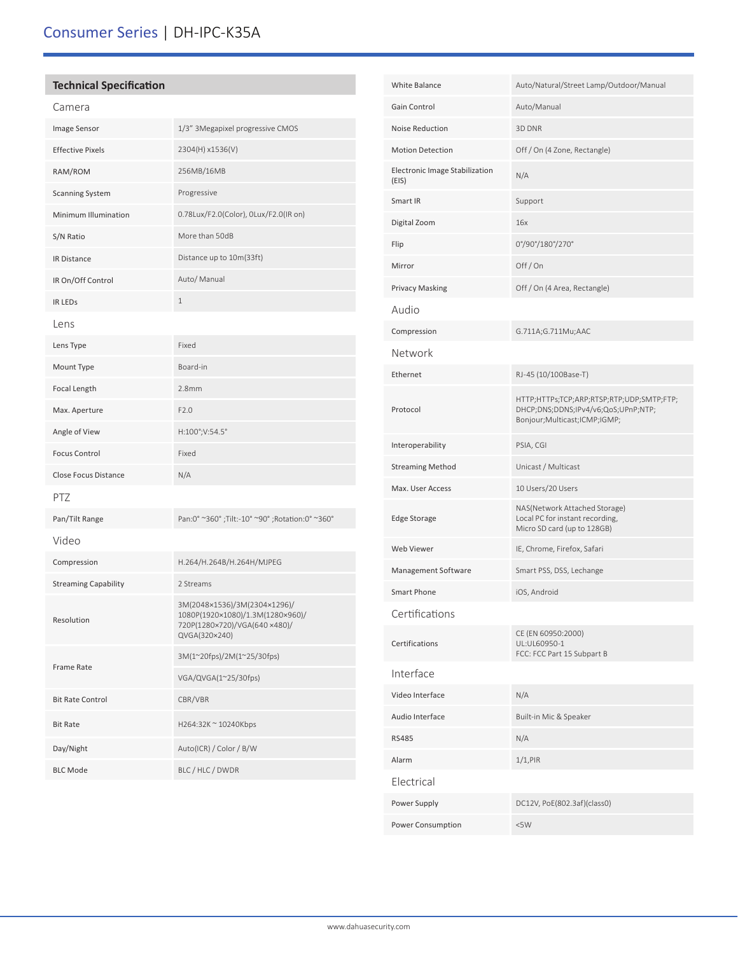## **Technical Specification**

| Camera                      |                                                                                                                   |  |
|-----------------------------|-------------------------------------------------------------------------------------------------------------------|--|
| Image Sensor                | 1/3" 3Megapixel progressive CMOS                                                                                  |  |
| <b>Effective Pixels</b>     | 2304(H) x1536(V)                                                                                                  |  |
| RAM/ROM                     | 256MB/16MB                                                                                                        |  |
| <b>Scanning System</b>      | Progressive                                                                                                       |  |
| Minimum Illumination        | 0.78Lux/F2.0(Color), 0Lux/F2.0(IR on)                                                                             |  |
| S/N Ratio                   | More than 50dB                                                                                                    |  |
| IR Distance                 | Distance up to 10m(33ft)                                                                                          |  |
| IR On/Off Control           | Auto/ Manual                                                                                                      |  |
| <b>IR LEDS</b>              | $\mathbf 1$                                                                                                       |  |
| Lens                        |                                                                                                                   |  |
| Lens Type                   | Fixed                                                                                                             |  |
| Mount Type                  | Board-in                                                                                                          |  |
| Focal Length                | 2.8 <sub>mm</sub>                                                                                                 |  |
| Max. Aperture               | F2.0                                                                                                              |  |
| Angle of View               | H:100°;V:54.5°                                                                                                    |  |
| <b>Focus Control</b>        | Fixed                                                                                                             |  |
| Close Focus Distance        | N/A                                                                                                               |  |
| PTZ                         |                                                                                                                   |  |
| Pan/Tilt Range              | Pan:0° ~360°; Tilt:-10° ~90°; Rotation:0° ~360°                                                                   |  |
| Video                       |                                                                                                                   |  |
| Compression                 | H.264/H.264B/H.264H/MJPEG                                                                                         |  |
| <b>Streaming Capability</b> | 2 Streams                                                                                                         |  |
| Resolution                  | 3M(2048×1536)/3M(2304×1296)/<br>1080P(1920×1080)/1.3M(1280×960)/<br>720P(1280×720)/VGA(640×480)/<br>QVGA(320×240) |  |
| <b>Frame Rate</b>           | 3M(1~20fps)/2M(1~25/30fps)                                                                                        |  |
|                             | VGA/QVGA(1~25/30fps)                                                                                              |  |
| <b>Bit Rate Control</b>     | CBR/VBR                                                                                                           |  |
| <b>Bit Rate</b>             | H264:32K ~ 10240Kbps                                                                                              |  |
| Day/Night                   | Auto(ICR) / Color / B/W                                                                                           |  |
| <b>BLC Mode</b>             | BLC / HLC / DWDR                                                                                                  |  |
|                             |                                                                                                                   |  |

| White Balance                           | Auto/Natural/Street Lamp/Outdoor/Manual                                                                          |
|-----------------------------------------|------------------------------------------------------------------------------------------------------------------|
| Gain Control                            | Auto/Manual                                                                                                      |
| Noise Reduction                         | 3D DNR                                                                                                           |
| <b>Motion Detection</b>                 | Off / On (4 Zone, Rectangle)                                                                                     |
| Electronic Image Stabilization<br>(EIS) | N/A                                                                                                              |
| Smart IR                                | Support                                                                                                          |
| Digital Zoom                            | 16x                                                                                                              |
| Flip                                    | 0°/90°/180°/270°                                                                                                 |
| Mirror                                  | Off/On                                                                                                           |
| Privacy Masking                         | Off / On (4 Area, Rectangle)                                                                                     |
| Audio                                   |                                                                                                                  |
| Compression                             | G.711A;G.711Mu;AAC                                                                                               |
| Network                                 |                                                                                                                  |
| Ethernet                                | RJ-45 (10/100Base-T)                                                                                             |
| Protocol                                | HTTP;HTTPs;TCP;ARP;RTSP;RTP;UDP;SMTP;FTP;<br>DHCP;DNS;DDNS;IPv4/v6;QoS;UPnP;NTP;<br>Bonjour;Multicast;ICMP;IGMP; |
| Interoperability                        | PSIA, CGI                                                                                                        |
| <b>Streaming Method</b>                 | Unicast / Multicast                                                                                              |
| Max. User Access                        | 10 Users/20 Users                                                                                                |
| <b>Edge Storage</b>                     | NAS(Network Attached Storage)<br>Local PC for instant recording,<br>Micro SD card (up to 128GB)                  |
| Web Viewer                              | IE, Chrome, Firefox, Safari                                                                                      |
| Management Software                     | Smart PSS, DSS, Lechange                                                                                         |
| Smart Phone                             | iOS, Android                                                                                                     |
| Certifications                          |                                                                                                                  |
| Certifications                          | CE (EN 60950:2000)<br>UL:UL60950-1<br>FCC: FCC Part 15 Subpart B                                                 |
| Interface                               |                                                                                                                  |
| Video Interface                         | N/A                                                                                                              |
| Audio Interface                         | Built-in Mic & Speaker                                                                                           |
| <b>RS485</b>                            | N/A                                                                                                              |
| Alarm                                   | $1/1,$ PIR                                                                                                       |
| Electrical                              |                                                                                                                  |
| Power Supply                            | DC12V, PoE(802.3af)(class0)                                                                                      |
| Power Consumption                       | <5W                                                                                                              |